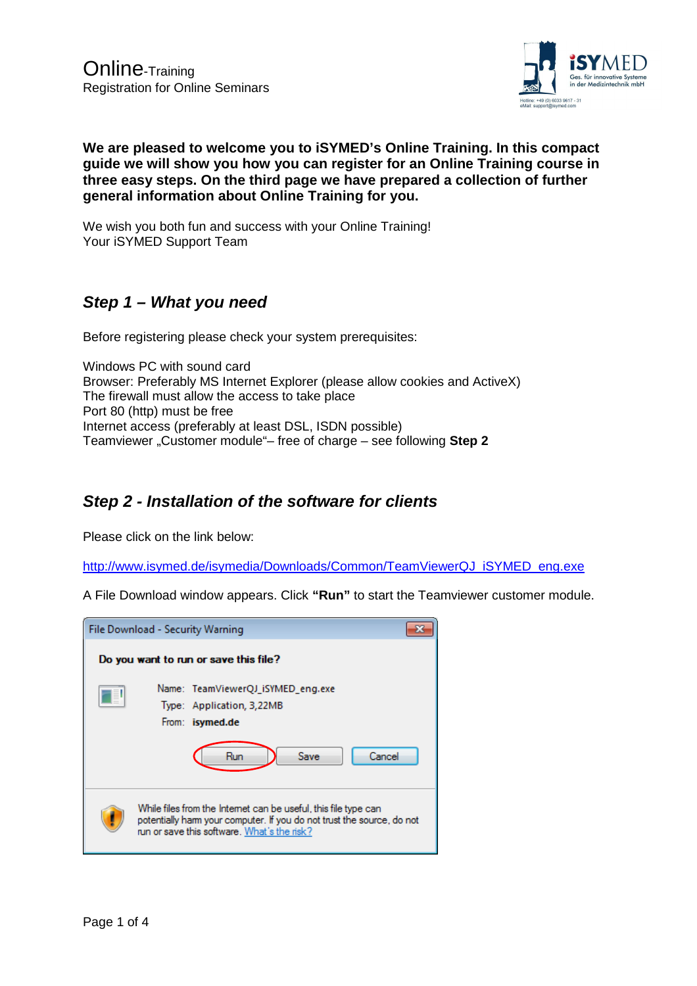

# **We are pleased to welcome you to iSYMED's Online Training. In this compact guide we will show you how you can register for an Online Training course in three easy steps. On the third page we have prepared a collection of further general information about Online Training for you.**

We wish you both fun and success with your Online Training! Your iSYMED Support Team

# **Step 1 – What you need**

Before registering please check your system prerequisites:

Windows PC with sound card Browser: Preferably MS Internet Explorer (please allow cookies and ActiveX) The firewall must allow the access to take place Port 80 (http) must be free Internet access (preferably at least DSL, ISDN possible) Teamviewer "Customer module"- free of charge - see following **Step 2** 

# **Step 2 - Installation of the software for clients**

Please click on the link below:

http://www.isymed.de/isymedia/Downloads/Common/TeamViewerQJ\_iSYMED\_eng.exe

A File Download window appears. Click **"Run"** to start the Teamviewer customer module.

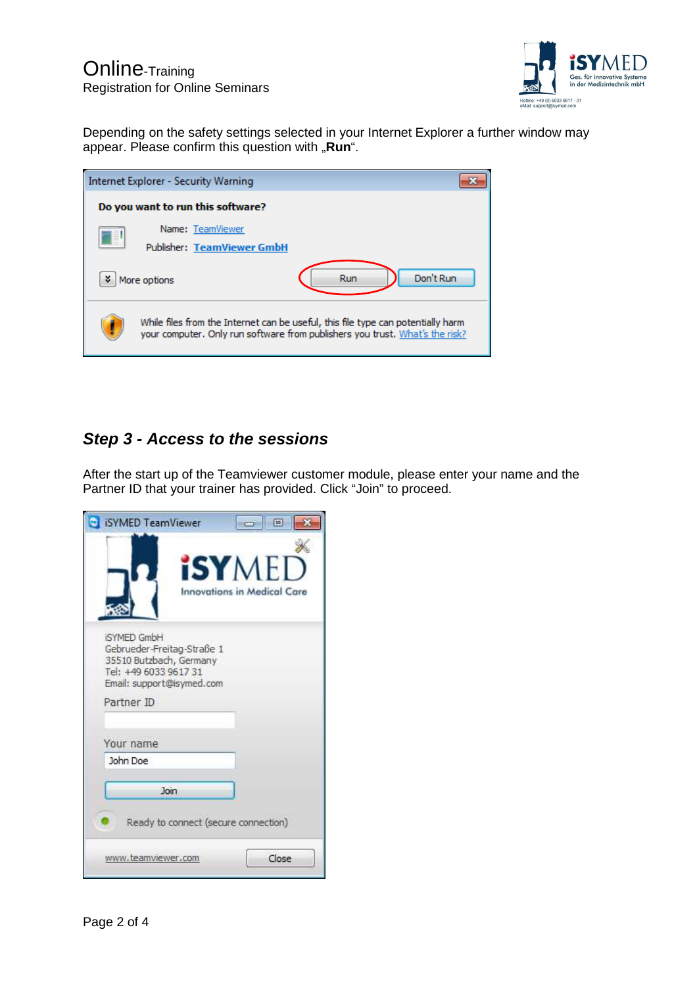

Depending on the safety settings selected in your Internet Explorer a further window may appear. Please confirm this question with "Run".

|                                   | <b>Internet Explorer - Security Warning</b>                                                                                                                      |                  |  |  |  |
|-----------------------------------|------------------------------------------------------------------------------------------------------------------------------------------------------------------|------------------|--|--|--|
| Do you want to run this software? |                                                                                                                                                                  |                  |  |  |  |
| I                                 | Name: TeamViewer                                                                                                                                                 |                  |  |  |  |
|                                   | <b>Publisher: TeamViewer GmbH</b>                                                                                                                                |                  |  |  |  |
| ×.                                | More options                                                                                                                                                     | Don't Run<br>Run |  |  |  |
|                                   | While files from the Internet can be useful, this file type can potentially harm<br>your computer. Only run software from publishers you trust. What's the risk? |                  |  |  |  |

# **Step 3 - Access to the sessions**

After the start up of the Teamviewer customer module, please enter your name and the Partner ID that your trainer has provided. Click "Join" to proceed.

| SYMED TeamViewer                                                                                                                  | E<br><b>CONTROL</b>                                 |
|-----------------------------------------------------------------------------------------------------------------------------------|-----------------------------------------------------|
|                                                                                                                                   | <b>iSYMED</b><br><b>Innovations in Medical Care</b> |
| <b>iSYMED GmbH</b><br>Gebrueder-Freitag-Straße 1<br>35510 Butzbach, Germany<br>Tel: +49 6033 9617 31<br>Email: support@isymed.com |                                                     |
| Partner ID                                                                                                                        |                                                     |
| Your name                                                                                                                         |                                                     |
| John Doe                                                                                                                          |                                                     |
| <b>Join</b>                                                                                                                       |                                                     |
| Ready to connect (secure connection)                                                                                              |                                                     |
| www.teamviewer.com                                                                                                                | Close                                               |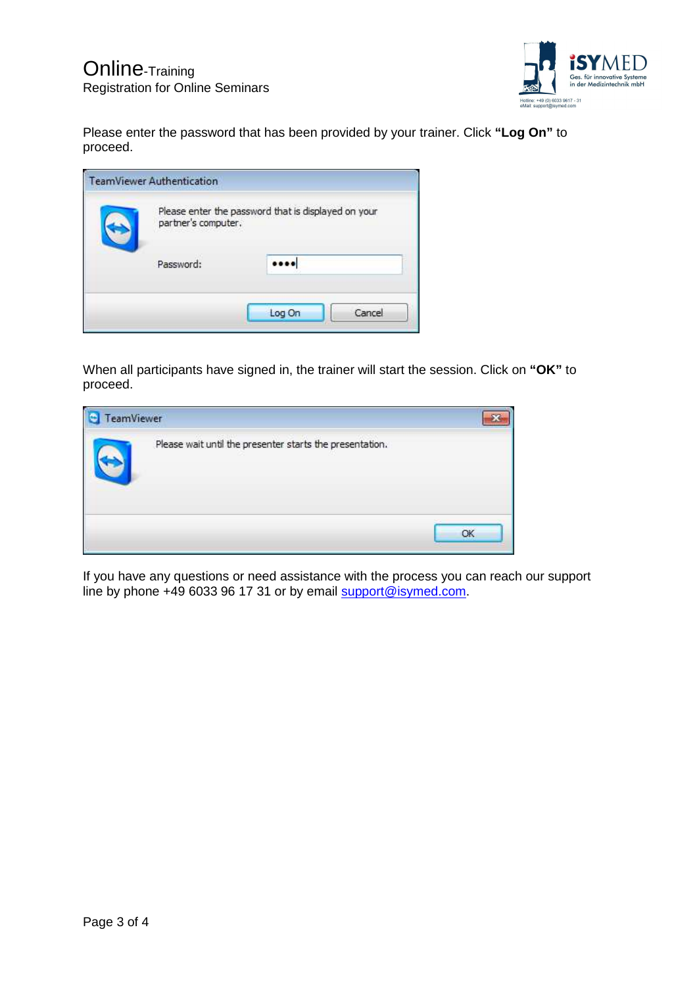

Please enter the password that has been provided by your trainer. Click **"Log On"** to proceed.

| Please enter the password that is displayed on your<br>partner's computer. |  |  |
|----------------------------------------------------------------------------|--|--|
| Password:                                                                  |  |  |

When all participants have signed in, the trainer will start the session. Click on **"OK"** to proceed.

| TeamViewer |                                                          |  |
|------------|----------------------------------------------------------|--|
|            | Please wait until the presenter starts the presentation. |  |
|            |                                                          |  |

If you have any questions or need assistance with the process you can reach our support line by phone +49 6033 96 17 31 or by email support@isymed.com.